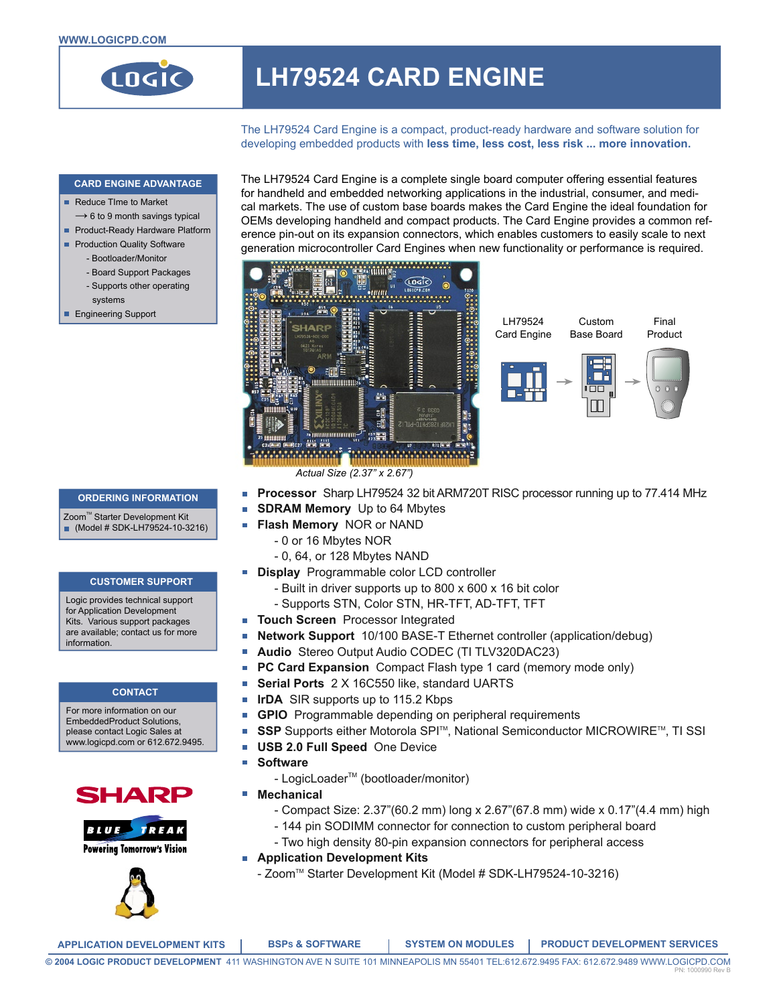

# **LH79524 CARD ENGINE**

The LH79524 Card Engine is a compact, product-ready hardware and software solution for developing embedded products with **less time, less cost, less risk ... more innovation.**

#### **CARD ENGINE ADVANTAGE**

- Reduce Time to Market
- $\rightarrow$  6 to 9 month savings typical
- Product-Ready Hardware Platform
- **Production Quality Software** 
	- Bootloader/Monitor
	- Board Support Packages
	- Supports other operating
	- systems
- **Engineering Support**

The LH79524 Card Engine is a complete single board computer offering essential features for handheld and embedded networking applications in the industrial, consumer, and medical markets. The use of custom base boards makes the Card Engine the ideal foundation for OEMs developing handheld and compact products. The Card Engine provides a common reference pin-out on its expansion connectors, which enables customers to easily scale to next generation microcontroller Card Engines when new functionality or performance is required.





**ORDERING INFORMATION**

Zoom<sup>™</sup> Starter Development Kit

# $MOE$  (Model # SDK-LH79524-10-3216)

#### **CUSTOMER SUPPORT**

Logic provides technical support for Application Development Kits. Various support packages are available; contact us for more information.

#### **CONTACT**

For more information on our EmbeddedProduct Solutions, please contact Logic Sales at www.logicpd.com or 612.672.9495.







- .<br>H **Processor** Sharp LH79524 32 bit ARM720T RISC processor running up to 77.414 MHz
- H **SDRAM Memory** Up to 64 Mbytes
- **Flash Memory** NOR or NAND  $\mathbb{Z}$ 
	- 0 or 16 Mbytes NOR
	- 0, 64, or 128 Mbytes NAND
- **Display** Programmable color LCD controller
	- Built in driver supports up to 800 x 600 x 16 bit color
	- Supports STN, Color STN, HR-TFT, AD-TFT, TFT
- **Touch Screen** Processor Integrated  $\mathbb{R}^n$
- H **Network Support** 10/100 BASE-T Ethernet controller (application/debug)
- Ħ **Audio** Stereo Output Audio CODEC (TI TLV320DAC23)
- $\blacksquare$ **PC Card Expansion** Compact Flash type 1 card (memory mode only)
- n **Serial Ports** 2 X 16C550 like, standard UARTS
- $\mathcal{L}_{\mathcal{A}}$ **IrDA** SIR supports up to 115.2 Kbps
- **GPIO** Programmable depending on peripheral requirements Ħ
- $\blacksquare$ **SSP** Supports either Motorola SPI™, National Semiconductor MICROWIRE™, TI SSI
- $\blacksquare$ **USB 2.0 Full Speed** One Device
- **Software** Π
	- LogicLoader™ (bootloader/monitor)
- Ħ **Mechanical**
	- Compact Size: 2.37"(60.2 mm) long x 2.67"(67.8 mm) wide x 0.17"(4.4 mm) high
	- 144 pin SODIMM connector for connection to custom peripheral board
	- Two high density 80-pin expansion connectors for peripheral access
- **Application Development Kits**
	- Zoom™ Starter Development Kit (Model # SDK-LH79524-10-3216)

**APPLICATION DEVELOPMENT KITS BSPS & SOFTWARE SYSTEM ON MODULES PRODUCT DEVELOPMENT SERVICES**

**© 2004 LOGIC PRODUCT DEVELOPMENT** 411 WASHINGTON AVE N SUITE 101 MINNEAPOLIS MN 55401 TEL:612.672.9495 FAX: 612.672.9489 WWW.LOGICPD.COM PN: 1000990 Rev B